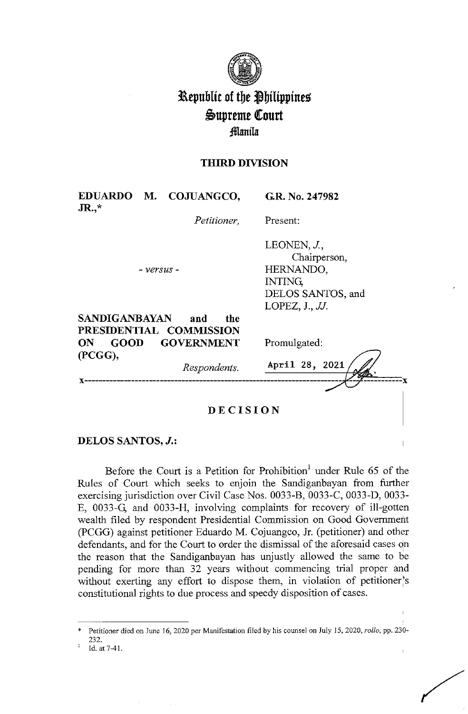

# **l\epublit of tbe ~bilippine~**   $\mathfrak{S}$ upreme Court **;!Manila:**

## **THIRD DIVISION**

| JR.,*             | EDUARDO M. COJUANGCO,                 | G.R. No. 247982           |
|-------------------|---------------------------------------|---------------------------|
|                   | Petitioner,                           | Present:                  |
|                   |                                       | LEONEN, J.,               |
|                   | - versus -                            | Chairperson,<br>HERNANDO, |
|                   |                                       | <b>INTING</b>             |
|                   |                                       | DELOS SANTOS, and         |
|                   |                                       | LOPEZ, $J.$ , $JJ.$       |
| SANDIGANBAYAN     | and<br>the<br>PRESIDENTIAL COMMISSION |                           |
| <b>GOOD</b><br>ON | <b>GOVERNMENT</b>                     | Promulgated:              |
| (PCGG),           |                                       |                           |
|                   | Respondents.                          | April 28, 2021            |
|                   |                                       |                           |
|                   |                                       |                           |
|                   |                                       |                           |

## **DECISION**

# **DELOS SANTOS,** *J.:*

Before the Court is a Petition for Prohibition<sup>1</sup> under Rule 65 of the Rules of Court which seeks to enjoin the Sandiganbayan from further exercising jurisdiction over Civil Case Nos. 0033-B, 0033-C, 0033-D, 0033- E, 0033-G; and 0033-H, involving complaints for recovery of ill-gotten wealth filed by respondent Presidential Commission on Good Government (PCGG) against petitioner Eduardo M. Cojuangco, **Jr.** (petitioner) and other defendants, and for the Court to order the dismissal of the aforesaid cases on the reason that the Sandiganbayan has unjustly allowed the same to be pending for more than 32 years without commencing trial proper and without exerting any effort to dispose them, in violation of petitioner's constitutional rights to due process and speedy disposition of cases.

Petitioner died on June 16, 2020 per Manifestation filed by his counsel on July 15, 2020, *rollo*, pp. 230-232.<br>Id. at 7-41.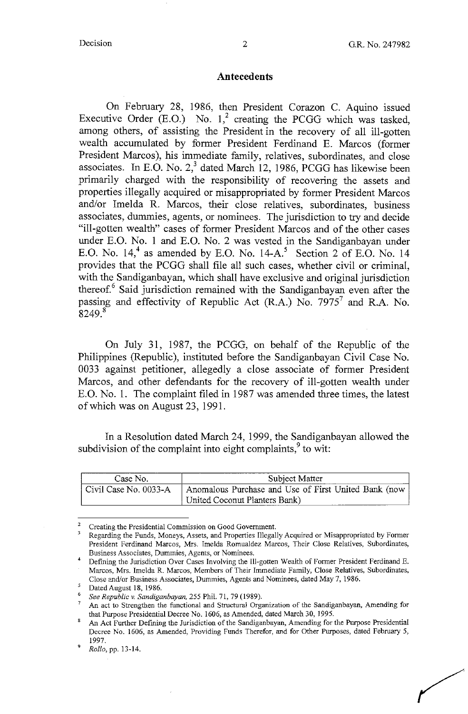#### **Antecedents**

On February 28, 1986, then President Corazon C. Aquino issued Executive Order (E.O.) No.  $1<sup>2</sup>$  creating the PCGG which was tasked, among others, of assisting the President in the recovery of all ill-gotten wealth accumulated by former President Ferdinand E. Marcos (former President Marcos), his immediate family, relatives, subordinates, and close associates. In E.O. No.  $2<sup>3</sup>$  dated March 12, 1986, PCGG has likewise been primarily charged with the responsibility of recovering the assets and properties illegally acquired or misappropriated by former President Marcos and/or Imelda R. Marcos, their close relatives, subordinates, business associates, dummies, agents, or nominees. The jurisdiction to try and decide "ill-gotten wealth" cases of former President Marcos and of the other cases under E.O. No. 1 and E.O. No. 2 was vested in the Sandiganbayan under E.O. No.  $14<sup>4</sup>$  as amended by E.O. No.  $14-A<sup>5</sup>$  Section 2 of E.O. No. 14 provides that the PCGG shall file all such cases, whether civil or criminal, with the Sandiganbayan, which shall have exclusive and original jurisdiction thereof.<sup>6</sup> Said jurisdiction remained with the Sandiganbayan even after the passing and effectivity of Republic Act (R.A.) No.  $7975<sup>7</sup>$  and R.A. No.  $8249<sup>8</sup>$ 

On July 31, 1987, the PCGG, on behalf of the Republic of the Philippines (Republic), instituted before the Sandiganbayan Civil Case No. 0033 against petitioner, allegedly a close associate of former President Marcos, and other defendants for the recovery of ill-gotten wealth under E.O. No. 1. The complaint filed in 1987 was amended three times, the latest of which was on August 23, 1991.

In a Resolution dated March 24, 1999, the Sandiganbayan allowed the subdivision of the complaint into eight complaints, $9$  to wit:

| Case No.              | Subject Matter                                       |  |
|-----------------------|------------------------------------------------------|--|
| Civil Case No. 0033-A | Anomalous Purchase and Use of First United Bank (now |  |
|                       | United Coconut Planters Bank)                        |  |

<sup>2</sup>**Creating the Presidential Commission on Good Government.** 

Regarding the Funds, Moneys, Assets, and Properties Illegally Acquired or Misappropriated by Former **President Ferdinand Marcos, Mrs. Imelda Romualdez Marcos, Their Close Relatives, Subordinates, Business Associates, Dummies, Agents, or Nominees.** 

<sup>4</sup>Defining the Jurisdiction Over Cases Involving the lll-gotten Wealth of Former President Ferdinand E. Marcos, Mrs. Imelda R. Marcos, Members of Their Immediate Family, Close Relatives, Subordinates, Close end/or Business Associates, Dummies, Agents and Nominees, dated May 7, 1986.

Dated August 18, 1986.

See Republic v. Sandiganbayan, 255 Phil. 71, 79 (1989).

<sup>7</sup>**An act to Strengthen the functional and Structural Organization of the Sandiganbayan, Amending for**  that Purpose Presidential Decree No. 1606, as Amended, dated March 30, 1995.

An Act Further Defining the Jurisdiction of the Sandiganbayan, Amending for the Purpose Presidential Decree No. 1606, as Amended, Providing Funds Therefor, and for Other Purposes, dated February 5,

<sup>1997.</sup> <sup>9</sup>*Rollo,* pp. 13-14.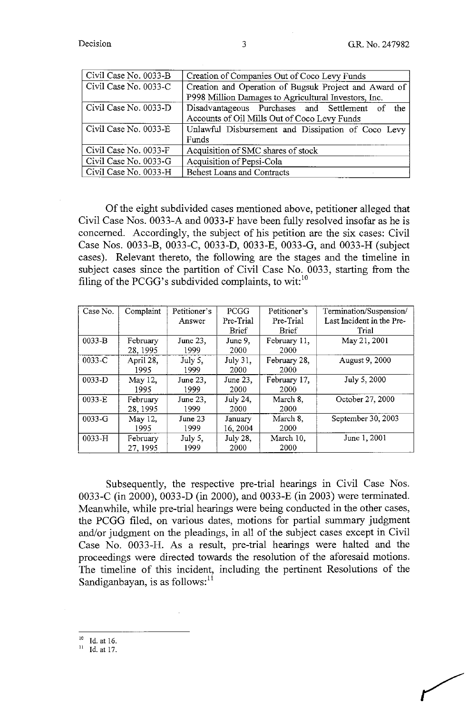| Civil Case No. 0033-B | Creation of Companies Out of Coco Levy Funds          |  |  |
|-----------------------|-------------------------------------------------------|--|--|
| Civil Case No. 0033-C | Creation and Operation of Bugsuk Project and Award of |  |  |
|                       | P998 Million Damages to Agricultural Investors, Inc.  |  |  |
| Civil Case No. 0033-D | Disadvantageous Purchases and Settlement of the       |  |  |
|                       | Accounts of Oil Mills Out of Coco Levy Funds          |  |  |
| Civil Case No. 0033-E | Unlawful Disbursement and Dissipation of Coco Levy    |  |  |
|                       | Funds                                                 |  |  |
| Civil Case No. 0033-F | Acquisition of SMC shares of stock                    |  |  |
| Civil Case No. 0033-G | Acquisition of Pepsi-Cola                             |  |  |
| Civil Case No. 0033-H | <b>Behest Loans and Contracts</b>                     |  |  |

Of the eight subdivided cases mentioned above, petitioner alleged that Civil Case Nos. 0033-A and 0033-F have been fully resolved insofar as he is concerned. Accordingly, the subject of his petition are the six cases: Civil Case Nos. 0033-B, 0033-C, 0033-D, 0033-E, 0033-G, and 0033-H (subject cases). Relevant thereto, the following are the stages and the timeline in subject cases since the partition of Civil Case No. 0033, starting from the filing of the PCGG's subdivided complaints, to wit: $^{10}$ 

| Case No.   | Complaint | Petitioner's | PCGG            | Petitioner's | Termination/Suspension/   |
|------------|-----------|--------------|-----------------|--------------|---------------------------|
|            |           | Answer       | Pre-Trial       | Pre-Trial    | Last Incident in the Pre- |
|            |           |              | <b>Brief</b>    | <b>Brief</b> | Trial                     |
| $0033 - B$ | February  | June 23,     | June 9,         | February 11, | May 21, 2001              |
|            | 28, 1995  | 1999         | 2000            | 2000         |                           |
| 0033-C     | April 28. | July 5,      | July 31,        | February 28, | August 9, 2000            |
|            | 1995      | 1999         | 2000            | 2000         |                           |
| 0033-D     | May 12,   | June 23,     | June 23,        | February 17, | July 5, 2000              |
|            | 1995      | 1999         | 2000            | 2000         |                           |
| 0033-E     | February  | June 23,     | <b>July 24,</b> | March 8,     | October 27, 2000          |
|            | 28, 1995  | 1999         | 2000            | 2000         |                           |
| $0033-G$   | May 12,   | June $23$    | January         | March 8.     | September 30, 2003        |
|            | 1995      | 1999         | 16, 2004        | 2000         |                           |
| $0033-H$   | February  | July 5,      | <b>July 28,</b> | March 10,    | June 1, 2001              |
|            | 27, 1995  | 1999         | 2000            | 2000         |                           |

Subsequently, the respective pre-trial hearings in Civil Case Nos. 0033-C (in 2000), 0033-D (in 2000), and 0033-E (in 2003) were terminated. Meanwhile, while pre-trial hearings were being conducted in the other cases, the PCGG filed, on various dates, motions for partial summary judgment and/or judgment on the pleadings, in all of the subject cases except in Civil Case No. 0033-H. As a result, pre-trial hearings were halted and the proceedings were directed towards the resolution of the aforesaid motions. The timeline of this incident, including the pertinent Resolutions of the Sandiganbayan, is as follows: $<sup>11</sup>$ </sup>

 $\frac{10}{11}$  Id. at 16.

1d. at 17.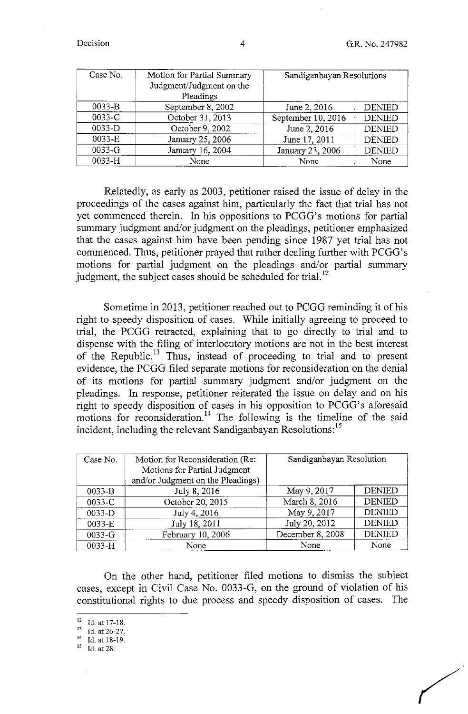| Case No.   | Motion for Partial Summary<br>Judgment/Judgment on the<br>Pleadings | Sandiganbayan Resolutions |               |
|------------|---------------------------------------------------------------------|---------------------------|---------------|
| $0033-B$   | September 8, 2002                                                   | June 2, 2016              | <b>DENIED</b> |
| 0033-C     | October 31, 2013                                                    | September 10, 2016        | <b>DENIED</b> |
| $0033-D$   | October 9, 2002                                                     | June 2, 2016              | <b>DENIED</b> |
| 0033-E     | January 25, 2006                                                    | June 17, 2011             | <b>DENIED</b> |
| $0033 - G$ | January 16, 2004                                                    | January 23, 2006          | <b>DENIED</b> |
| 0033-H     | None                                                                | None                      | None          |

Relatedly, as early as 2003, petitioner raised the issue of delay in the proceedings of the cases against him, particularly the fact that trial has not yet commenced therein. In his oppositions to PCGG's motions for partial summary judgment and/or judgment on the pleadings, petitioner emphasized that the cases against him have been pending since 1987 yet trial has not commenced. Thus, petitioner prayed that rather dealing further with PCGG's motions for partial judgment on the pleadings and/or partial summary judgment, the subject cases should be scheduled for trial. $^{12}$ 

Sometime in 2013, petitioner reached out to PCGG reminding it of his right to speedy disposition of cases. While initially agreeing to proceed to trial, the PCGG retracted, explaining that to go directly to trial and to dispense with the filing of interlocutory motions are not in the best interest of the Republic.<sup>13</sup> Thus, instead of proceeding to trial and to present evidence, the PCGG filed separate motions for reconsideration on the denial of its motions for partial summary judgment and/or judgment on the pleadings. In response, petitioner reiterated the issue on delay and on his right to speedy disposition of cases in his opposition to PCGG's aforesaid motions for reconsideration.<sup>14</sup> The following is the timeline of the said incident, including the relevant Sandiganbayan Resolutions:<sup>15</sup>

| Case No.   | Motion for Reconsideration (Re:   | Sandiganbayan Resolution |               |
|------------|-----------------------------------|--------------------------|---------------|
|            | Motions for Partial Judgment      |                          |               |
|            | and/or Judgment on the Pleadings) |                          |               |
| $0033-B$   | July 8, 2016                      | May 9, 2017              | <b>DENIED</b> |
| 0033-C     | October 20, 2015                  | March 8, 2016            | <b>DENIED</b> |
| 0033-D     | July 4, 2016                      | May 9, 2017              | <b>DENIED</b> |
| 0033-E     | July 18, 2011                     | July 20, 2012            | <b>DENIED</b> |
| $0033 - G$ | February 10, 2006                 | December 8, 2008         | <b>DENIED</b> |
| 0033-H     | None                              | None                     | None          |

On the other hand, petitioner filed motions to dismiss the subject cases, except in Civil Case No. 0033-G, on the ground of violation of his constitutional rights to due process and speedy disposition of cases. The

- 
- 14 Id.at 18-19.
- 15 Id. at 28.

<sup>12</sup> ld.atl7-18. 13 **Id. at 26-27.**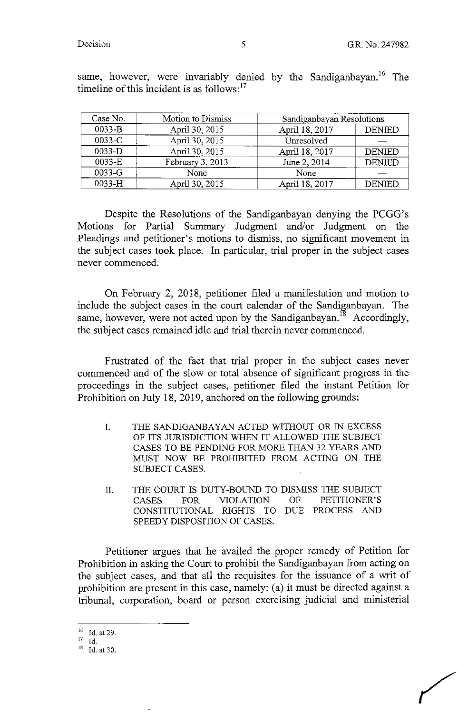| Case No. | Motion to Dismiss | Sandiganbayan Resolutions |               |
|----------|-------------------|---------------------------|---------------|
| 0033-B   | April 30, 2015    | April 18, 2017            | <b>DENIED</b> |
| 0033-C   | April 30, 2015    | Unresolved                |               |
| 0033-D   | April 30, 2015    | April 18, 2017            | <b>DENIED</b> |
| $0033-E$ | February 3, 2013  | June 2, 2014              | <b>DENIED</b> |
| 0033-G   | None              | None                      |               |
| 0033-H   | April 30, 2015    | April 18, 2017            | <b>DENIED</b> |

same, however, were invariably denied by the Sandiganbayan.<sup>16</sup> The timeline of this incident is as follows: $17$ 

Despite the Resolutions of the Sandiganbayan denying the PCGG's Motions for Partial Summary Judgment and/or Judgment on the Pleadings and petitioner's motions to dismiss, no significant movement in the subject cases took place. In particular, trial proper in the subject cases never commenced.

On February 2, 2018, petitioner filed a manifestation and motion to include the subject cases in the court calendar of the Sandiganbayan. The same, however, were not acted upon by the Sandiganbayan.<sup>18</sup> Accordingly, the subject cases remained idle and trial therein never commenced.

Frustrated of the fact that trial proper in the subject cases never commenced and of the slow or total absence of significant progress in the proceedings in the subject cases, petitioner filed the instant Petition for Prohibition on July 18, 2019, anchored on the following grounds:

- I. THE SANDIGANBAYAN ACTED WITHOUT OR IN EXCESS OF ITS JURISDICTION WHEN IT ALLOWED THE SUBJECT CASES TO BE PENDING FOR MORE THAN 32 YEARS AND MUST NOW BE PROHIBITED FROM ACTING ON THE SUBJECT CASES.
- II. THE COURT IS DUTY-BOUND TO DISMISS THE SUBJECT CASES FOR VIOLATION OF PETITIONER'S CONSTITUTIONAL RIGHTS TO DUE PROCESS AND SPEEDY DISPOSITION OF CASES.

Petitioner argues that he availed the proper remedy of Petition for Prohibition in asking the Court to prohibit the Sandiganbayan from acting on the subject cases, and that all the requisites for the issuance of a writ of prohibition are present in this case, namely: (a) it must be directed against a tribunal, corporation, board or person exercising judicial and ministerial

 $^{16}$  Id. at 29.<br>  $^{17}$  Id.<br>  $^{18}$  Id. at 30.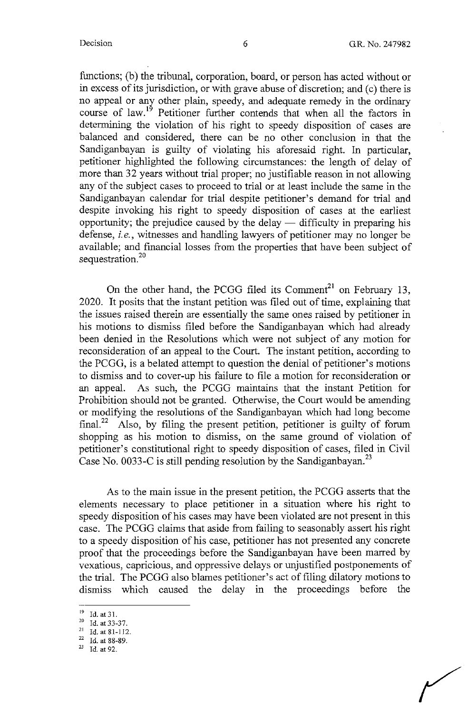functions; (b) the tribunal, corporation, board, or person has acted without or in excess of its jurisdiction, or with grave abuse of discretion; and (c) there is no appeal or any other plain, speedy, and adequate remedy in the ordinary course of law.<sup>19</sup> Petitioner further contends that when all the factors in determining the violation of his right to speedy disposition of cases are balanced and considered, there can be no other conclusion in that the Sandiganbayan is guilty of violating his aforesaid right. In particular, petitioner highlighted the following circumstances: the length of delay of more than 32 years without trial proper; no justifiable reason in not allowing any of the subject cases to proceed to trial or at least include the same in the Sandiganbayan calendar for trial despite petitioner's demand for trial and despite invoking his right to speedy disposition of cases at the earliest opportunity; the prejudice caused by the delay  $-$  difficulty in preparing his defense, *i.e.,* witnesses and handling lawyers of petitioner may no longer be available; and financial losses from the properties that have been subject of sequestration.<sup>20</sup>

On the other hand, the PCGG filed its Comment<sup>21</sup> on February 13, 2020. It posits that the instant petition was filed out of time, explaining that the issues raised therein are essentially the same ones raised by petitioner in his motions to dismiss filed before the Sandiganbayan which had already been denied in the Resolutions which were not subject of any motion for reconsideration of an appeal to the Court. The instant petition, according to the PCGG, is a belated attempt to question the denial of petitioner's motions to dismiss and to cover-up his failure to file a motion for reconsideration or an appeal. As such, the PCGG maintains that the instant Petition for Prohibition should not be granted. Otherwise, the Court would be amending or modifying the resolutions of the Sandiganbayan which had long become final.<sup>22</sup> Also, by filing the present petition, petitioner is guilty of forum shopping as his motion to dismiss, on the same ground of violation of petitioner's constitutional right to speedy disposition of cases, filed in Civil Case No. 0033-C is still pending resolution by the Sandiganbayan.<sup>23</sup>

As to the main issue in the present petition, the PCGG asserts that the elements necessary to place petitioner in a situation where his right to speedy disposition of his cases may have been violated are not present in this case. The PCGG claims that aside from failing to seasonably assert his right to a speedy disposition of his case, petitioner has not presented any concrete proof that the proceedings before the Sandiganbayan have been marred by vexatious, capricious, and oppressive delays or unjustified postponements of the trial. The PCGG also blames petitioner's act of filing dilatory motions to dismiss which caused the delay in the proceedings before the

<sup>19</sup> Id. at 31. 20 **Id. at33-37.** 

<sup>21</sup> Id. at 81-112.

 $22$  Id. at 88-89.

*<sup>23</sup>*Id. at 92.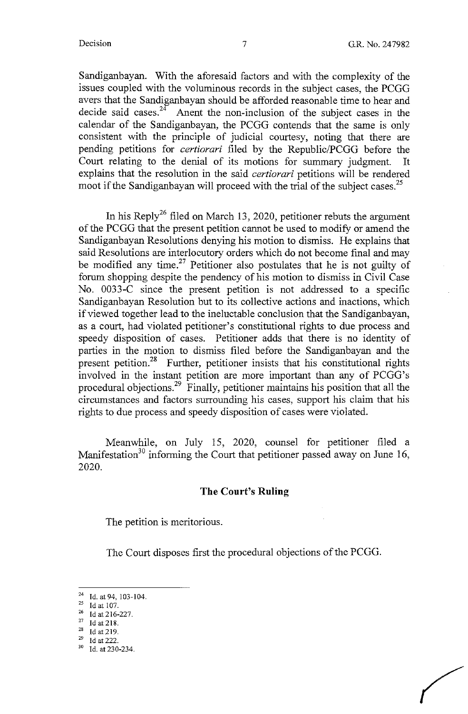Sandiganbayan. With the aforesaid factors and with the complexity of the issues coupled with the voluminous records in the subject cases, the PCGG avers that the Sandiganbayan should be afforded reasonable time to hear and decide said cases.<sup>24</sup> Anent the non-inclusion of the subject cases in the calendar of the Sandiganbayan, the PCGG contends that the same is only consistent with the principle of judicial courtesy, noting that there are pending petitions for *certiorari* filed by the Republic/PCGG before the Court relating to the denial of its motions for summary judgment. It explains that the resolution in the said *certiorari* petitions will be rendered moot if the Sandiganbayan will proceed with the trial of the subject cases.<sup>25</sup>

In his Reply<sup>26</sup> filed on March 13, 2020, petitioner rebuts the argument of the PCGG that the present petition cannot be used to modify or amend the Sandiganbayan Resolutions denying his motion to dismiss. He explains that said Resolutions are interlocutory orders which do not become final and may be modified any time.<sup>27</sup> Petitioner also postulates that he is not guilty of forum shopping despite the pendency of his motion to dismiss in Civil Case No. 0033-C since the present petition is not addressed to a specific Sandiganbayan Resolution but to its collective actions and inactions, which if viewed together lead to the ineluctable conclusion that the Sandiganbayan, as a court, had violated petitioner's constitutional rights to due process and speedy disposition of cases. Petitioner adds that there is no identity of parties in the motion to dismiss filed before the Sandiganbayan and the present petition.<sup>28</sup> Further, petitioner insists that his constitutional rights involved in the instant petition are more important than any of PCGG's procedural objections.<sup>29</sup> Finally, petitioner maintains his position that all the circumstances and factors surrounding his cases, support his claim that his rights to due process and speedy disposition of cases were violated.

Meanwhile, on July 15, 2020, counsel for petitioner filed a Manifestation<sup>30</sup> informing the Court that petitioner passed away on June 16, 2020.

#### **The Court's Ruling**

The petition is meritorious.

The Court disposes first the procedural objections of the PCGG.

Id. at 94, 103-104.

Id at 107.

 $^{26}$  Id at 216-227.

 $^{27}$  Id at 218.

Id at 219.

 $^{29}$  Id at 222.<br><sup>30</sup> Id. at 230-234.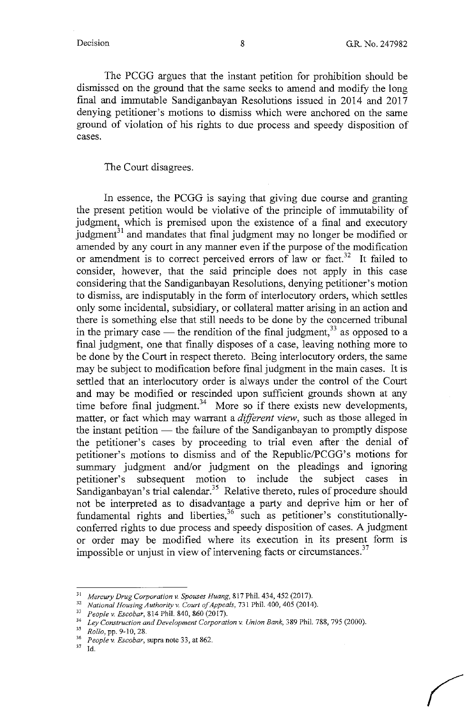The PCGG argues that the instant petition for prohibition should be dismissed on the ground that the same seeks to amend and modify the long final and immutable Sandiganbayan Resolutions issued in 2014 and 2017 denying petitioner's motions to dismiss which were anchored on the same ground of violation of his rights to due process and speedy disposition of cases.

The Court disagrees.

In essence, the PCGG is saying that giving due course and granting the present petition would be violative of the principle of immutability of judgment, which is premised upon the existence of a final and executory judgment $31$  and mandates that final judgment may no longer be modified or amended by any court in any manner even if the purpose of the modification or amendment is to correct perceived errors of law or fact.<sup>32</sup> It failed to consider, however, that the said principle does not apply in this case considering that the Sandiganbayan Resolutions, denying petitioner's motion to dismiss, are indisputably in the form of interlocutory orders, which settles only some incidental, subsidiary, or collateral matter arising in an action and there is something else that still needs to be done by the concerned tribunal in the primary case — the rendition of the final judgment,  $33$  as opposed to a final judgment, one that finally disposes of a case, leaving nothing more to be done by the Court in respect thereto. Being interlocutory orders, the same may be subject to modification before final judgment in the main cases. It is settled that an interlocutory order is always under the control of the Court and may be modified or rescinded upon sufficient grounds shown at any time before final judgment.<sup>34</sup> More so if there exists new developments, matter, or fact which may warrant a *different view,* such as those alleged in the instant petition  $-$  the failure of the Sandiganbayan to promptly dispose the petitioner's cases by proceeding to trial even after the denial of petitioner's motions to dismiss and of the Republic/PCGG's motions for summary judgment and/or judgment on the pleadings and ignoring petitioner's subsequent motion to include the subject cases in Sandiganbayan's trial calendar.<sup>35</sup> Relative thereto, rules of procedure should not be interpreted as to disadvantage a party and deprive him or her of fundamental rights and liberties,  $3^6$  such as petitioner's constitutionallyconferred rights to due process and speedy disposition of cases. A judgment or order may be modified where its execution in its present form 1s impossible or unjust in view of intervening facts or circumstances.<sup>37</sup>

<sup>&</sup>lt;sup>31</sup> Mercury Drug Corporation v. Spouses Huang, 817 Phil. 434, 452 (2017).<br><sup>32</sup> *National Housing Authority v. Court of Appeals*, 731 Phil. 400, 405 (2014).<br><sup>33</sup> *People v. Escobar*, 814 Phil. 840, 860 (2017).

<sup>&</sup>lt;sup>34</sup> Ley Construction and Development Corporation v. Union Bank, 389 Phil. 788, 795 (2000).<br><sup>35</sup> *Rollo*, pp. 9-10, 28.<br><sup>36</sup> *People v. Escobar*, supra note 33, at 862.

<sup>37</sup> Id.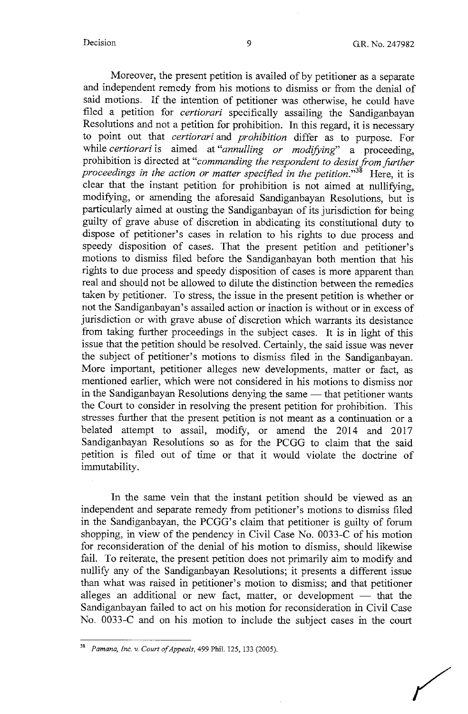Moreover, the present petition is availed of by petitioner as a separate and independent remedy from his motions to dismiss or from the denial of said motions. If the intention of petitioner was otherwise, he could have filed a petition for *certiorari* specifically assailing the Sandiganbayan Resolutions and not a petition for prohibition. In this regard, it is necessary to point out that *certiorari* and *prohibition* differ as to purpose. For while *certiorari* is aimed at *"annulling or modifying'* a proceeding, prohibition is directed at "commanding the respondent to desist from further *proceedings in the action or matter specified in the petition."38* Here, it is clear that the instant petition for prohibition is not aimed at nullifying, modifying, or amending the aforesaid Sandiganbayan Resolutions, but is particularly aimed at ousting the Sandiganbayan of its jurisdiction for being guilty of grave abuse of discretion in abdicating its constitutional duty to dispose of petitioner's cases in relation to his rights to due process and speedy disposition of cases. That the present petition and petitioner's motions to dismiss filed before the Sandiganbayan both mention that his rights to due process and speedy disposition of cases is more apparent than real and should not be allowed to dilute the distinction between the remedies taken by petitioner. To stress, the issue in the present petition is whether or not the Sandiganbayan's assailed action or inaction is without or in excess of jurisdiction or with grave abuse of discretion which warrants its desistance from taking further proceedings in the subject cases. It is in light of this issue that the petition should be resolved. Certainly, the said issue was never the subject of petitioner's motions to dismiss filed in the Sandiganbayan. More important, petitioner alleges new developments, matter or fact, as mentioned earlier, which were not considered in his motions to dismiss nor in the Sandiganbayan Resolutions denying the same - that petitioner wants the Court to consider in resolving the present petition for prohibition. This stresses further that the present petition is not meant as a continuation or a belated attempt to assail, modify, or amend the 2014 and 2017 Sandiganbayan Resolutions so as for the PCGG to claim that the said petition is filed out of time or that it would violate the doctrine of immutability.

In the same vein that the instant petition should be viewed as an independent and separate remedy from petitioner's motions to dismiss filed in the Sandiganbayan, the PCGG's claim that petitioner is guilty of forum shopping, in view of the pendency in Civil Case No. 0033-C of his motion for reconsideration of the denial of his motion to dismiss, should likewise fail. To reiterate, the present petition does not primarily aim to modify and nullify any of the Sandiganbayan Resolutions; it presents a different issue than what was raised in petitioner's motion to dismiss; and that petitioner alleges an additional or new fact, matter, or development - that the Sandiganbayan failed to act on his motion for reconsideration in Civil Case No. 0033-C and on his motion to include the subject cases in the court

<sup>&</sup>lt;sup>38</sup> Pamana, Inc. v. Court of Appeals, 499 Phil. 125, 133 (2005).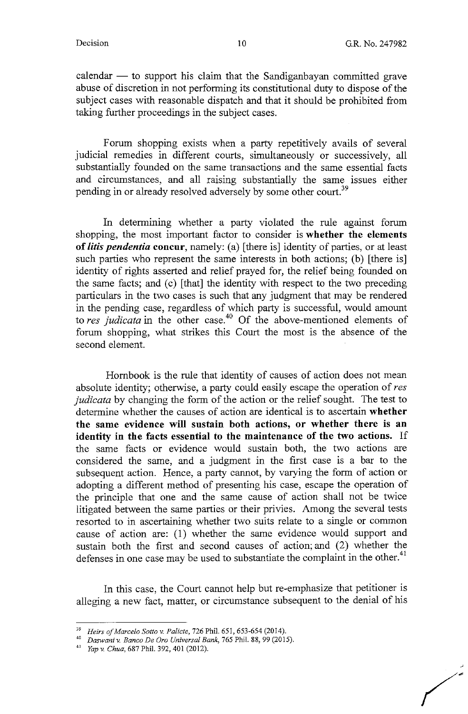$calam$  - to support his claim that the Sandiganbayan committed grave abuse of discretion in not performing its constitutional duty to dispose of the subject cases with reasonable dispatch and that it should be prohibited from taking further proceedings in the subject cases.

Forum shopping exists when a party repetitively avails of several judicial remedies in different courts, simultaneously or successively, all substantially founded on the same transactions and the same essential facts and circumstances, and all raising substantially the same issues either pending in or already resolved adversely by some other court.<sup>39</sup>

In determining whether a party violated the rule against forum shopping, the most important factor to consider is **whether the elements of** *litis pendentia* **concur,** namely: (a) [there is] identity of parties, or at least such parties who represent the same interests in both actions; (b) [there is] identity of rights asserted and relief prayed for, the relief being founded on the same facts; and (c) [that] the identity with respect to the two preceding particulars in the two cases is such that any judgment that may be rendered in the pending case, regardless of which party is successful, would amount to *res judicata* in the other case. 40 Of the above-mentioned elements of forum shopping, what strikes this Court the most is the absence of the second element.

Hombook is the rule that identity of causes of action does not mean absolute identity; otherwise, a party could easily escape the operation of *res judicata* by changing the form of the action or the relief sought. The test to determine whether the causes of action are identical is to ascertain **whether the same evidence will sustain both actions, or whether there is an identity in the facts essential to the maintenance of the two actions.** If the same facts or evidence would sustain both, the two actions are considered the same, and a judgment in the first case is a bar to the subsequent action. Hence, a party cannot, by varying the form of action or adopting a different method of presenting his case, escape the operation of the principle that one and the same cause of action shall not be twice litigated between the same parties or their privies. Among the several tests resorted to in ascertaining whether two suits relate to a single or common cause of action are: (1) whether the same evidence would support and sustain both the first and second causes of action; and (2) whether the defenses in one case may be used to substantiate the complaint in the other.<sup>41</sup>

In this case, the Court cannot help but re-emphasize that petitioner is alleging a new fact, matter, or circumstance subsequent to the denial of his

<sup>39</sup>*Heirs a/Marcelo Sotto v. Palicte,* 726 Phil. 651, 653-654 (2014). 40 *Daswaniv. Banco De Oro Universal Bank,* 765 Phil. 88, 99 (2015).

<sup>41</sup> *Yap v. Chua,* 687 Phil. 392,401 (2012).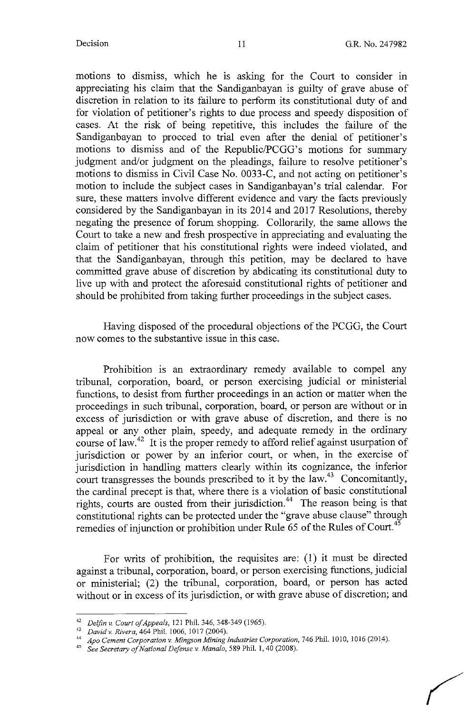motions to dismiss, which he is asking for the Court to consider in appreciating his claim that the Sandiganbayan is guilty of grave abuse of discretion in relation to its failure to perform its constitutional duty of and for violation of petitioner's rights to due process and speedy disposition of cases. At the risk of being repetitive, this includes the failure of the Sandiganbayan to proceed to trial even after the denial of petitioner's motions to dismiss and of the Republic/PCGG's motions for summary judgment and/or judgment on the pleadings, failure to resolve petitioner's motions to dismiss in Civil Case No. 0033-C, and not acting on petitioner's motion to include the subject cases in Sandiganbayan's trial calendar. For sure, these matters involve different evidence and vary the facts previously considered by the Sandiganbayan in its 2014 and 2017 Resolutions, thereby negating the presence of forum shopping. Collorarily, the same allows the Court to take a new and fresh prospective in appreciating and evaluating the claim of petitioner that his constitutional rights were indeed violated, and that the Sandiganbayan, through this petition, may be declared to have committed grave abuse of discretion by abdicating its constitutional duty to live up with and protect the aforesaid constitutional rights of petitioner and should be prohibited from taking further proceedings in the subject cases.

Having disposed of the procedural objections of the PCGG, the Court now comes to the substantive issue in this case.

Prohibition is an extraordinary remedy available to compel any tribunal, corporation, board, or person exercising judicial or ministerial functions, to desist from further proceedings in an action or matter when the proceedings in such tribunal, corporation, board, or person are without or in excess of jurisdiction or with grave abuse of discretion, and there is no appeal or any other plain, speedy, and adequate remedy in the ordinary course of law.<sup>42</sup> It is the proper remedy to afford relief against usurpation of jurisdiction or power by an inferior court, or when, in the exercise of jurisdiction in handling matters clearly within its cognizance, the inferior court transgresses the bounds prescribed to it by the  $law.<sup>43</sup>$  Concomitantly, the cardinal precept is that, where there is a violation of basic constitutional rights, courts are ousted from their jurisdiction.<sup>44</sup> The reason being is that constitutional rights can be protected under the "grave abuse clause" through remedies of injunction or prohibition under Rule 65 of the Rules of Court.<sup>45</sup>

For writs of prohibition, the requisites are: (1) it must be directed against a tribunal, corporation, board, or person exercising functions, judicial or ministerial; (2) the tribunal, corporation, board, or person has acted without or in excess of its jurisdiction, or with grave abuse of discretion; and

<sup>42</sup>*Delfin" Court of Appeals,* 121 Phil. 346, 348-349 (1965). 43 *Dcrvid v. Rivera,* 464 Phil. 1006, 1017 (2004).

<sup>&</sup>lt;sup>44</sup> Apo Cement Corporation v. Mingson Mining Industries Corporation, 746 Phil. 1010, 1016 (2014).<br><sup>45</sup> See Secretary of National Defense v. Manalo, 589 Phil. 1, 40 (2008).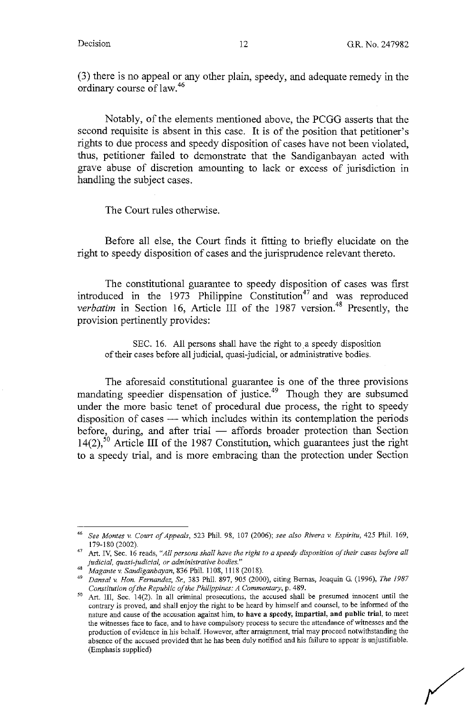(3) there is no appeal or any other plain, speedy, and adequate remedy in the ordinary course of law.<sup>46</sup>

Notably, of the elements mentioned above, the PCGG asserts that the second requisite is absent in this case. It is of the position that petitioner's rights to due process and speedy disposition of cases have not been violated, thus, petitioner failed to demonstrate that the Sandiganbayan acted with grave abuse of discretion amounting to lack or excess of jurisdiction in handling the subject cases.

The Court rules otherwise.

Before all else, the Court finds it fitting to briefly elucidate on the right to speedy disposition of cases and the jurisprudence relevant thereto.

The constitutional guarantee to speedy disposition of cases was first introduced in the  $1973$  Philippine Constitution<sup>47</sup> and was reproduced *verbatim* in Section 16, Article III of the 1987 version.<sup>48</sup> Presently, the provision pertinently provides:

SEC. 16. All persons shall have the right to a speedy disposition of their cases before all judicial, quasi-judicial, or administrative bodies.

The aforesaid constitutional guarantee is one of the three provisions mandating speedier dispensation of justice.<sup>49</sup> Though they are subsumed under the more basic tenet of procedural due process, the right to speedy disposition of cases - which includes within its contemplation the periods before, during, and after trial - affords broader protection than Section 14(2),<sup>50</sup> Article III of the 1987 Constitution, which guarantees just the right to a speedy trial, and is more embracing than the protection under Section

<sup>46</sup> See *Montes* v. *Court of Appeals,* 523 Phil. 98, 107 (2006); *see also Rivera* v. *Espiritu,* 425 Phil. 169,

<sup>179-180 (2002). 47</sup> Art. IV, Sec. 16 reads, *"All persons shall have the right to a speedy disposition of their cases before all judicial, quasi-judicial, or administrative bodies."* 

<sup>48</sup>*Magante* v. *Sandiganbayan,* 836 Phil. 1108, 1118 (2018). 49 *Dansal* v. *Hon. Fernandez, Sr,* 383 Phil. 897,905 (2000), citing Bernas, Joaquin G. (1996), *The 1987 Constitution of the Republic of the Philippines: A Commentary*, p. 489.<br><sup>50</sup> Art. III, Sec. 14(2). In all criminal prosecutions, the accused shall be presumed innocent until the

contrary is proved, and shall enjoy the right to be heard by himself and counsel, to be informed of the **nature and cause of the accusation against him, to have a speedy, impartial, and public trial, to meet the witnesses face to face, and to have compulsory process to secure the attendance of witnesses and the**  production of evidence in his behalf. However, after arraignment, trial may proceed notwithstanding the absence of the accused provided that he has been duly notified and his failure to appear is unjustifiable. (Emphasis supplied)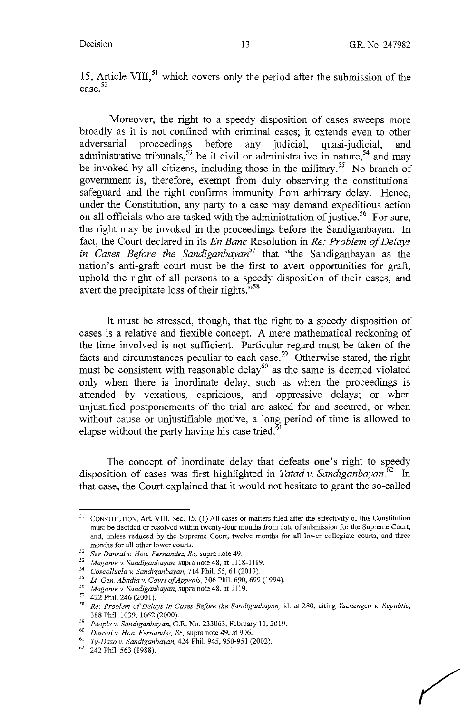15, Article VIII, $^{51}$  which covers only the period after the submission of the  $\cos^{-52}$ 

Moreover, the right to a speedy disposition of cases sweeps more broadly as it is not confined with criminal cases; it extends even to other adversarial proceedings before any judicial, quasi-judicial, and administrative tribunals,<sup>53</sup> be it civil or administrative in nature,<sup>54</sup> and may be invoked by all citizens, including those in the military.<sup>55</sup> No branch of government is, therefore, exempt from duly observing the constitutional safeguard and the right confirms immunity from arbitrary delay. Hence, under the Constitution, any party to a case may demand expeditious action on all officials who are tasked with the administration of justice.<sup>56</sup> For sure, the right may be invoked in the proceedings before the Sandiganbayan. In fact, the Court declared in its *En Banc* Resolution in *Re: Problem of Delays in Cases Before the Sandiganbayan<sup>57</sup>*that "the Sandiganbayan as the nation's anti-graft court must be the first to avert opportunities for graft, uphold the right of all persons to a speedy disposition of their cases, and avert the precipitate loss of their rights."<sup>58</sup>

It must be stressed, though, that the right to a speedy disposition of cases is a relative and flexible concept. A mere mathematical reckoning of the time involved is not sufficient. Particular regard must be taken of the facts and circumstances peculiar to each case.<sup>59</sup> Otherwise stated, the right must be consistent with reasonable delay<sup>60</sup> as the same is deemed violated only when there is inordinate delay, such as when the proceedings is attended by vexatious, capricious, and oppressive delays; or when unjustified postponements of the trial are asked for and secured, or when without cause or unjustifiable motive, a long period of time is allowed to elapse without the party having his case tried.<sup>6</sup>

The concept of inordinate delay that defeats one's right to speedy disposition of cases was first highlighted in *Tatad v. Sandiganbayan*.<sup>62</sup> In that case, the Court explained that it would not hesitate to grant the so-called

<sup>&</sup>lt;sup>51</sup> CONSTITUTION, Art. VIII, Sec. 15. (1) All cases or matters filed after the effectivity of this Constitution must be decided or resolved within twenty-four months from date of submission for the Supreme Court, and, unless reduced by the Supreme Court, twelve months for all lower collegiate courts, and three months for all other lower courts.<br><sup>52</sup> *See Dansal v. Hon. Fernandez, Sr.,* supra note 49.

<sup>53</sup>*Magante v. Sandiganbayan,* supra note 48, at 1118-1119.

<sup>54</sup> *Coscolluela v. Sandiganbayan,* 714 Phil. *55,* 61 (2013).

<sup>55</sup> Lt. *Gen. Abadia v. Court of Appeals,* 306 Phil. 690,699 (1994).

<sup>56</sup>*Magante v. Sandiganbayan,* supra note 48, at 1119.

<sup>&</sup>lt;sup>57</sup> 422 Phil. 246 (2001).

<sup>58</sup>*Re: Problem of Delays in Cases Before the Sandiganbayan,* id. at 280, citing *Yuchengco v. Republic,*  388 Phil. 1039, 1062 (2000).<br><sup>59</sup> People v. Sandiganbayan, G.R. No. 233063, February 11, 2019.

<sup>59</sup>*People v. Sandiganbayan,* G.R. No. 233063, February 11, 2019. 60 *Dansal v. Hon. Fernandez,* &, supra note 49, at 906. 61 *Ty-Daza v. Sandiganbayan,* 424 Phil. 945, 950-951 (2002). 62 242 Phil. 563 (1988).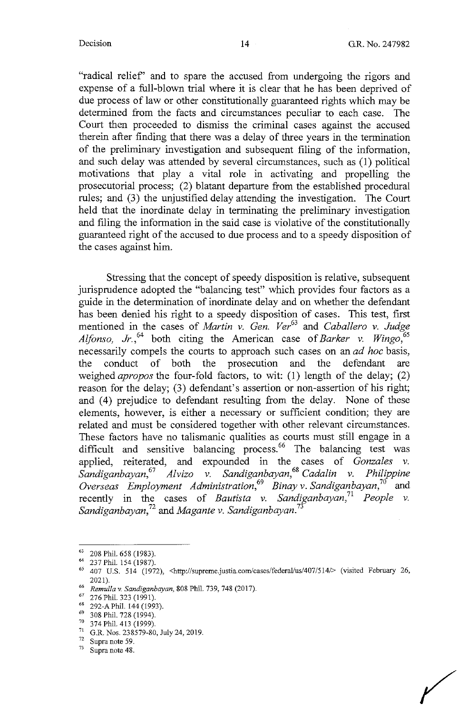"radical relief' and to spare the accused from undergoing the rigors and expense of a full-blown trial where it is clear that he has been deprived of due process of law or other constitutionally guaranteed rights which may be determined from the facts and circumstances peculiar to each case. The Court then proceeded to dismiss the criminal cases against the accused therein after finding that there was a delay of three years in the termination of the preliminary investigation and subsequent filing of the information, and such delay was attended by several circumstances, such as (1) political motivations that play a vital role in activating and propelling the prosecutorial process; (2) blatant departure from the established procedural rules; and (3) the unjustified delay attending the investigation. The Court held that the inordinate delay in terminating the preliminary investigation and filing the information in the said case is violative of the constitutionally guaranteed right of the accused to due process and to a speedy disposition of the cases against him.

Stressing that the concept of speedy disposition is relative, subsequent jurisprudence adopted the "balancing test" which provides four factors as a guide in the determination of inordinate delay and on whether the defendant has been denied his right to a speedy disposition of cases. This test, first mentioned in the cases of *Martin v. Gen. Ver<sup>63</sup>*and *Caballero v. Judge Alfonso, Jr.*<sup>64</sup> both citing the American case of *Barker v. Wingo*,<sup>65</sup> necessarily compels the courts to approach such cases on an *ad hoc* basis, the conduct of both the prosecution and the defendant are weighed *apropos* the four-fold factors, to wit: (1) length of the delay; (2) reason for the delay; (3) defendant's assertion or non-assertion of his right; and (4) prejudice to defendant resulting from the delay. None of these elements, however, is either a necessary or sufficient condition; they are related and must be considered together with other relevant circumstances. These factors have no talismanic qualities as courts must still engage in a difficult and sensitive balancing process.<sup>66</sup> The balancing test was applied, reiterated, and expounded in the cases of *Gonzales v. Sandiganbayan,*<sup>67</sup>*Alvizo v. Sandiganbayan,*<sup>68</sup>*Cada/in v. Philippine Overseas Employment Administration,69 Binay v. Sandiganbayan,70* and recently in the cases of *Bautista v. Sandiganbayan*,<sup>71</sup> *People v. Sandiganbayan,<sup>72</sup>*and *Magante v. Sandiganbayan.<sup>73</sup>*

 $^{63}$  208 Phil. 658 (1983).

<sup>&</sup>lt;sup>64</sup> 237 Phil. 154 (1987).<br><sup>65</sup> 407 U.S. 514 (1972), <http://supreme.justia.com/cases/federal/us/407/514/> (visited February 26, 2021).

<sup>66</sup>*Remulla v. Sandiganbayan,* 808 Phil. 739, 748 (2017).

 $^{67}$  276 Phil. 323 (1991).

<sup>292-</sup>A Phil. 144 (1993).

 $^{69}$  308 Phil. 728 (1994).<br> $^{70}$  374 Phil. 413 (1999).

<sup>&</sup>lt;sup>71</sup> G.R. Nos. 238579-80, July 24, 2019.

 $72^{\circ}$  Supra note 59.<br> $73^{\circ}$  Supra note 48.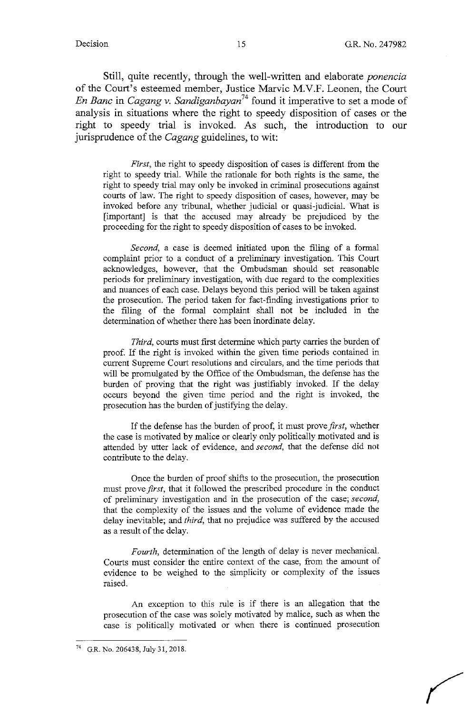Still, quite recently, through the well-written and elaborate *ponencia*  of the Court's esteemed member, Justice Marvic M.V.F. Leonen, the Court *En Banc* in *Cagang v. Sandiganbayan*<sup>74</sup> found it imperative to set a mode of analysis in situations where the right to speedy disposition of cases or the right to speedy trial is invoked. As such, the introduction to our jurisprudence of the *Cagang* guidelines, to wit:

*First,* the right to speedy disposition of cases is different from the right to speedy trial. While the rationale for both rights is the same, the right to speedy trial may only be invoked in criminal prosecutions against courts of law. The right to speedy disposition of cases, however, may be invoked before any tribunal, whether judicial or quasi-judicial. What is [important] is that the accused may already be prejudiced by the proceeding for the right to speedy disposition of cases to be invoked.

*Second,* a case is deemed initiated upon the filing of a formal complaint prior to a conduct of a preliminary investigation. This Court acknowledges, however, that the Ombudsman should set reasonable periods for preliminary investigation, with due regard to the complexities and nuances of each case. Delays beyond this period will be taken against the prosecution. The period taken for fact-finding investigations prior to the filing of the formal complaint shall not be included in the determination of whether there has been inordinate delay.

*Third,* courts must first determine which party carries the burden of proof. If the right is invoked within the given time periods contained in current Supreme Court resolutions and circulars, and the time periods that will be promulgated by the Office of the Ombudsman, the defense has the burden of proving that the right was justifiably invoked. If the delay occurs beyond the given time period and the right is invoked, the prosecution has the burden of justifying the delay.

If the defense has the burden of proof, it must prove *first,* whether the case is motivated by malice or clearly only politically motivated and is attended by utter lack of evidence, and *second,* that the defense did not contribute to the delay.

Once the burden of proof shifts to the prosecution, the prosecution must prove *first,* that it followed the prescribed procedure in the conduct of preliminary investigation and in the prosecution of the case; *second,*  that the complexity of the issues and the volume of evidence made the delay inevitable; and *third,* that no prejudice was suffered by the accused as a result of the delay.

*Fourth,* determination of the length of delay is never mechanical. Courts must consider the entire context of the case, from the amount of evidence to be weighed to the simplicity or complexity of the issues raised.

An exception to this rule is if there is an allegation that the prosecution of the case was solely motivated by malice, such as when the case is politically motivated or when there is continued prosecution

G.R. No. 206438, July 31, 2018.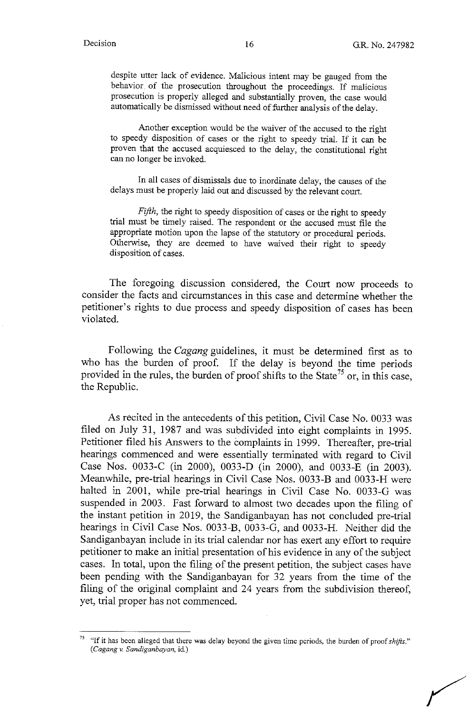despite utter lack of evidence. Malicious intent may be gauged from the behavior. of the prosecution throughout the proceedings. If malicious prosecution is properly alleged and substantially proven, the case would automatically be dismissed without need of further analysis of the delay.

Another exception would be the waiver of the accused to the right to speedy disposition of cases or the right to speedy trial. If it can be proven that the accused acquiesced to the delay, the constitutional right can no longer be invoked.

In all cases of dismissals due to inordinate delay, the causes of the delays must be properly laid out and discussed by the relevant court.

*Fifth*, the right to speedy disposition of cases or the right to speedy trial must be timely raised. The respondent or the accused must file the appropriate motion upon the lapse of the statutory or procedural periods. Otherwise, they are deemed to have waived their right to speedy disposition of cases.

The foregoing discussion considered, the Court now proceeds to consider the facts and circumstances in this case and determine whether the petitioner's rights to due process and speedy disposition of cases has been violated.

Following the *Cagang* guidelines, it must be determined first as to who has the burden of proof. If the delay is beyond the time periods provided in the rules, the burden of proof shifts to the State<sup>75</sup> or, in this case, the Republic.

As recited in the antecedents of this petition, Civil Case No. 0033 was filed on July 31, 1987 and was subdivided into eight complaints in 1995. Petitioner filed his Answers to the complaints in 1999. Thereafter, pre-trial hearings commenced and were essentially terminated with regard to Civil Case Nos. 0033-C (in 2000), 0033-D (in 2000), and 0033-E (in 2003). Meanwhile, pre-trial hearings in Civil Case Nos. 0033-B and 0033-H were halted in 2001, while pre-trial hearings in Civil Case No. 0033-G was suspended in 2003. Fast forward to almost two decades upon the filing of the instant petition in 2019, the Sandiganbayan has not concluded pre-trial hearings in Civil Case Nos. 0033-B, 0033-G, and 0033-H. Neither did the Sandiganbayan include in its trial calendar nor has exert any effort to require petitioner to make an initial presentation of his evidence in any of the subject cases. In total, upon the filing of the present petition, the subject cases have been pending with the Sandiganbayan for 32 years from the time of the filing of the original complaint and 24 years from the subdivision thereof, yet, trial proper has not commenced.

<sup>&</sup>lt;sup>75</sup> "If it has been alleged that there was delay beyond the given time periods, the burden of proof *shifts*." *(Cagangv. Sandiganbayan,* id)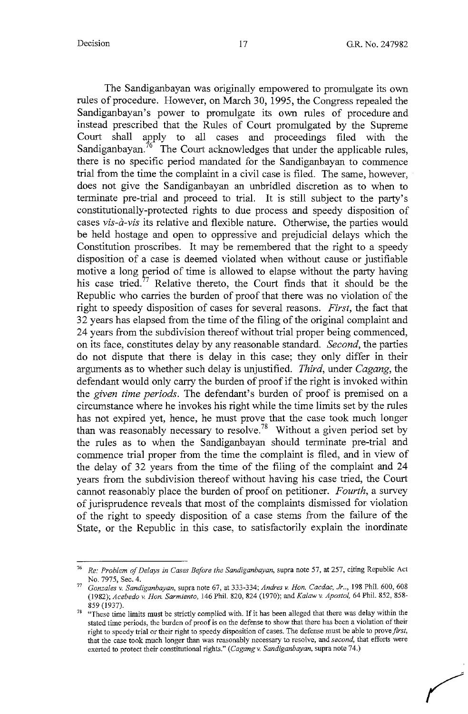The Sandiganbayan was originally empowered to promulgate its own rules of procedure. However, on March 30, 1995, the Congress repealed the Sandiganbayan's power to promulgate its own rules of procedure and instead prescribed that the Rules of Court promulgated by the Supreme Court shall apply to all cases and proceedings filed with the Sandiganbayan.<sup>76</sup> The Court acknowledges that under the applicable rules, there is no specific period mandated for the Sandiganbayan to commence trial from the time the complaint in a civil case is filed. The same, however, does not give the Sandiganbayan an unbridled discretion as to when to terminate pre-trial and proceed to trial. It is still subject to the party's constitutionally-protected rights to due process and speedy disposition of cases *vis-a-vis* its relative and flexible nature. Otherwise, the parties would be held hostage and open to oppressive and prejudicial delays which the Constitution proscribes. It may be remembered that the right to a speedy disposition of a case is deemed violated when without cause or justifiable motive a long period of time is allowed to elapse without the party having his case tried.<sup>77</sup> Relative thereto, the Court finds that it should be the Republic who carries the burden of proof that there was no violation of the right to speedy disposition of cases for several reasons. *First,* the fact that 32 years has elapsed from the time of the filing of the original complaint and 24 years from the subdivision thereof without trial proper being commenced, on its face, constitutes delay by any reasonable standard. *Second,* the parties do not dispute that there is delay in this case; they only differ in their arguments as to whether such delay is unjustified. *Third,* under *Cagang,* the defendant would only carry the burden of proof if the right is invoked within the *given time periods.* The defendant's burden of proof is premised on a circumstance where he invokes his right while the time limits set by the rules has not expired yet, hence, he must prove that the case took much longer than was reasonably necessary to resolve.<sup>78</sup> Without a given period set by the rules as to when the Sandiganbayan should terminate pre-trial and commence trial proper from the time the complaint is filed, and in view of the delay of 32 years from the time of the filing of the complaint and 24 years from the subdivision thereof without having his case tried, the Court cannot reasonably place the burden of proof on petitioner. *Fourth,* a survey of jurisprudence reveals that most of the complaints dismissed for violation of the right to speedy disposition of a case stems from the failure of the State, or the Republic in this case, to satisfactorily explain the inordinate

<sup>76</sup>*Re: Problem of Delays in Cases Before the Sandiganbayan,* supra note 57, at 257, citing Republic Act No. 7975, Sec. 4.

<sup>77</sup>*Gonzales v. Sandiganbayan,* supra note 67, at 333-334; *Andres v. Hon. Cacdac, Jr .. ,* 198 Phil. 600,608 (1982); *Acebedo v. Hon. Sarmiento,* 146 Phil. 820, 824 (1970); and *Ka/aw v. Apostol,* 64 Phil. 852, 858- 859 (1937).

<sup>&</sup>lt;sup>78</sup> "These time limits must be strictly complied with. If it has been alleged that there was delay within the **stated time periods, the burden of proof is on the defense to show that there has been a violation of their**  right *to* speedy trial or their right to speedy disposition of cases. The defense must be able to prove *first,*  that the case took much longer than was reasonably necessary to resolve, and *second,* that efforts were exerted to protect their constitutional rights." *(Cagang v. Sandiganbayan,* supra note 74.)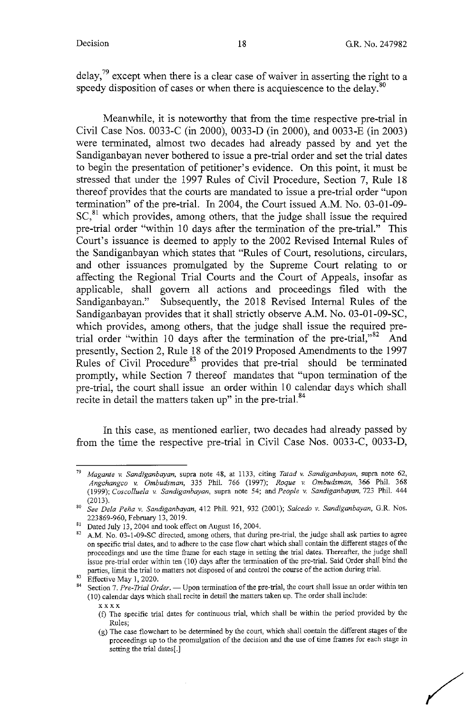/

delay,<sup>79</sup> except when there is a clear case of waiver in asserting the right to a speedy disposition of cases or when there is acquiescence to the delay.<sup>80</sup>

Meanwhile, it is noteworthy that from the time respective pre-trial in Civil Case Nos. 0033-C (in 2000), 0033-D (in 2000), and 0033-E (in 2003) were terminated, almost two decades had already passed by and yet the Sandiganbayan never bothered to issue a pre-trial order and set the trial dates to begin the presentation of petitioner's evidence. On this point, it must be stressed that under the 1997 Rules of Civil Procedure, Section 7, Rule 18 thereof provides that the courts are mandated to issue a pre-trial order "upon termination" of the pre-trial. In 2004, the Court issued A.M. No. 03-01-09-  $SC<sub>1</sub><sup>81</sup>$  which provides, among others, that the judge shall issue the required pre-trial order "within 10 days after the termination of the pre-trial." This Court's issuance is deemed to apply to the 2002 Revised Internal Rules of the Sandiganbayan which states that "Rules of Court, resolutions, circulars, and other issuances promulgated by the Supreme Court relating to or affecting the Regional Trial Courts and the Court of Appeals, insofar as applicable, shall govern all actions and proceedings filed with the Sandiganbayan." Subsequently, the 2018 Revised Internal Rules of the Sandiganbayan provides that it shall strictly observe A.M. No. 03-01-09-SC, which provides, among others, that the judge shall issue the required pretrial order "within 10 days after the termination of the pre-trial," $82$  And presently, Section 2, Rule 18 of the 2019 Proposed Amendments to the 1997 Rules of Civil Procedure<sup>83</sup> provides that pre-trial should be terminated promptly, while Section 7 thereof mandates that "upon termination of the pre-trial, the court shall issue an order within 10 calendar days which shall recite in detail the matters taken up" in the pre-trial.<sup>84</sup>

In this case, as mentioned earlier, two decades had already passed by from the time the respective pre-trial in Civil Case Nos. 0033-C, 0033-D,

Effective May 1, 2020.

<sup>79</sup>*Magante v. Sandiganbayan,* supra note 48, at 1133, citing *Tatad v. Sandiganbayan,* supra note 62, *Angchangco v. Ombudsman,* 335 Phil. 766 (I 997); *Roque v. Ombudsman,* 366 Phil. 368 (1999); *Coscolluela v. Sandiganbayan,* supra note 54; and *People v. Sandiganbayan,* 723 Phil. 444 (2013).

<sup>80</sup>See *Dela Pena v. Sandiganbayan,* 412 Phil. 921, 932 (2001); *Salcedo v. Sandiganbayan,* G.R. Nos.

<sup>223869-960,</sup> February 13, 2019.<br><sup>81</sup> Dated July 13, 2004 and took effect on August 16, 2004.<br><sup>82</sup> A.M. No. 03-1-09-SC directed, among others, that during pre-trial, the judge shall ask parties to agree on specific trial dates, and to adhere to the case flow chart which shall contain the different stages of the **proceedings and use the time frame for each stage in setting the trial dates. Thereafter, the judge shall**  issue pre-trial order within ten (10) days after the termination of the pre-trial. Said Order shall bind the **parties, limit the trial to matters not disposed of and control the course of the action during trial.** 

<sup>848861</sup> Section 7. Pre-Trial Order. - Upon termination of the pre-trial, the court shall issue an order within ten (10) calendar days which shall recite in detail the matters taken up. The order shall include:

**xxxx** 

<sup>(</sup>f) The specific trial dates for continuous trial, which shall be within the period provided by the Rules;

<sup>(</sup>g) The case flowchart to be determined by the court, which shall contain the different stages of the **proceedings up to the promulgation of the decision and the use of time frames for each stage in**  setting the trial dates[.]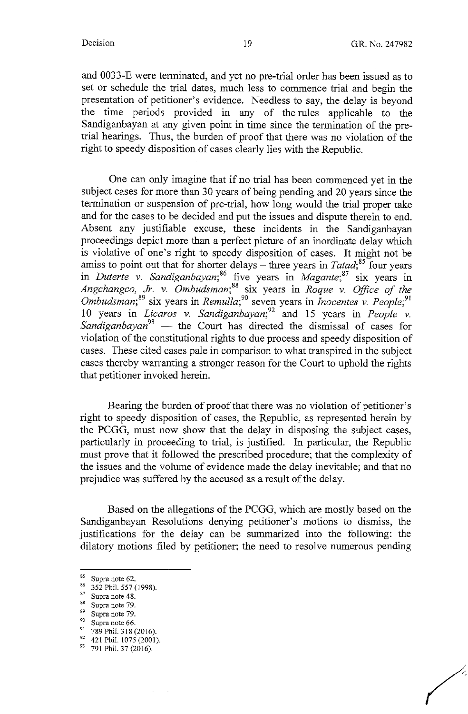and 0033-E were terminated, and yet no pre-trial order has been issued as to set or schedule the trial dates, much less to commence trial and begin the presentation of petitioner's evidence. Needless to say, the delay is beyond the time periods provided in any of the rules applicable to the Sandiganbayan at any given point in time since the termination of the pretrial hearings. Thus, the burden of proof that there was no violation of the right to speedy disposition of cases clearly lies with the Republic.

One can only imagine that if no trial has been commenced yet in the subject cases for more than 30 years of being pending and 20 years since the termination or suspension of pre-trial, how long would the trial proper take and for the cases to be decided and put the issues and dispute therein to end. Absent any justifiable excuse, these incidents in the Sandiganbayan proceedings depict more than a perfect picture of an inordinate delay which is violative of one's right to speedy disposition of cases. It might not be amiss to point out that for shorter delays - three years in *Tatad*;<sup>85</sup> four years in *Duterte v. Sandiganbayan*;<sup>86</sup> five years in *Magante*;<sup>87</sup> six years in *Angchangco, Jr.* v. *Ombudsman; <sup>88</sup>*six years in *Roque* v. *Office of the Ombudsman; <sup>89</sup>*six years in *Remulla;<sup>90</sup>* seven years in *Inocentes* v. *People;<sup>91</sup>* 10 years in *Licaros v. Sandiganbayan*;<sup>92</sup> and 15 years in *People v. Sandiganbayan*<sup>93</sup> — the Court has directed the dismissal of cases for violation of the constitutional rights to due process and speedy disposition of cases. These cited cases pale in comparison to what transpired in the subject cases thereby warranting a stronger reason for the Court to uphold the rights that petitioner invoked herein.

Bearing the burden of proof that there was no violation of petitioner's right to speedy disposition of cases, the Republic, as represented herein by the PCGG, must now show that the delay in disposing the subject cases, particularly in proceeding to trial, is justified. In particular, the Republic must prove that it followed the prescribed procedure; that the complexity of the issues and the volume of evidence made the delay inevitable; and that no prejudice was suffered by the accused as a result of the delay.

Based on the allegations of the PCGG, which are mostly based on the Sandiganbayan Resolutions denying petitioner's motions to dismiss, the justifications for the delay can be summarized into the following: the dilatory motions filed by petitioner; the need to resolve numerous pending

 $\frac{85}{86}$  Supra note 62.

 $\frac{86}{87}$  352 Phil. 557 (1998).<br>
Supra note 48.

 $\frac{88}{89}$  Supra note 79.

 $\frac{89}{90}$  Supra note 79.

<sup>&</sup>lt;sup>90</sup> Supra note 66.<br><sup>91</sup> 789 Phil. 318 (2016).

<sup>92 421</sup> Phil. 1075 (2001).

<sup>93 791</sup> Phil. 37 (2016).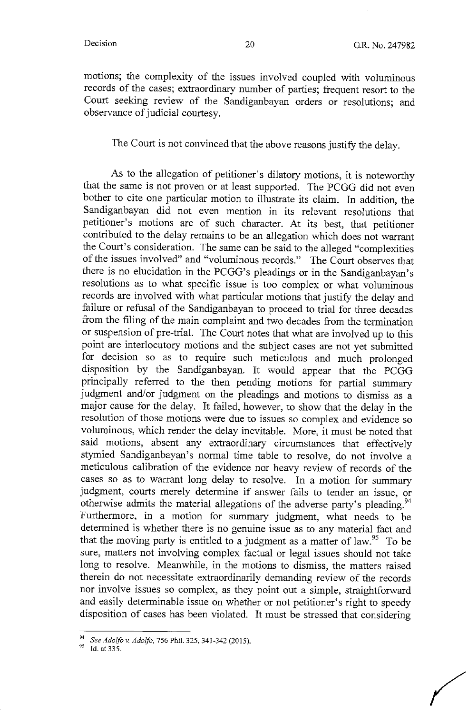motions; the complexity of the issues involved coupled with voluminous records of the cases; extraordinary number of parties; frequent resort to the Court seeking review of the Sandiganbayan orders or resolutions; and observance of judicial courtesy.

# The Court is not convinced that the above reasons justify the delay.

As to the allegation of petitioner's dilatory motions, it is noteworthy that the same is not proven or at least supported. The PCGG did not even bother to cite one particular motion to illustrate its claim. In addition, the Sandiganbayan did not even mention in its relevant resolutions that petitioner's motions are of such character. At its best, that petitioner contributed to the delay remains to be an allegation which does not warrant the Court's consideration. The same can be said to the alleged "complexities of the issues involved" and "voluminous records." The Court observes that there is no elucidation in the PCGG's pleadings or in the Sandiganbayan's resolutions as to what specific issue is too complex or what voluminous records are involved with what particular motions that justify the delay and failure or refusal of the Sandiganbayan to proceed to trial for three decades from the filing of the main complaint and two decades from the termination or suspension of pre-trial. The Court notes that what are involved up to this point are interlocutory motions and the subject cases are not yet submitted for decision so as to require such meticulous and much prolonged disposition by the Sandiganbayan. It would appear that the PCGG principally referred to the then pending motions for partial summary judgment and/or judgment on the pleadings and motions to dismiss as a major cause for the delay. It failed, however, to show that the delay in the resolution of those motions were due to issues so complex and evidence so voluminous, which render the delay inevitable. More, it must be noted that said motions, absent any extraordinary circumstances that effectively stymied Sandiganbayan's normal time table to resolve, do not involve a meticulous calibration of the evidence nor heavy review of records of the cases so as to warrant long delay to resolve. In a motion for summary judgment, courts merely determine if answer fails to tender an issue, or otherwise admits the material allegations of the adverse party's pleading.<sup>94</sup> Furthermore, in a motion for summary judgment, what needs to be determined is whether there is no genuine issue as to any material fact and that the moving party is entitled to a judgment as a matter of law.<sup>95</sup> To be sure, matters not involving complex factual or legal issues should not take long to resolve. Meanwhile, in the motions to dismiss, the matters raised therein do not necessitate extraordinarily demanding review of the records nor involve issues so complex, as they point out a simple, straightforward and easily determinable issue on whether or not petitioner's right to speedy disposition of cases has been violated. It must be stressed that considering

<sup>&</sup>lt;sup>94</sup> See *Adolfo v. Adolfo*, 756 Phil. 325, 341-342 (2015).<br><sup>95</sup> Id. at 335.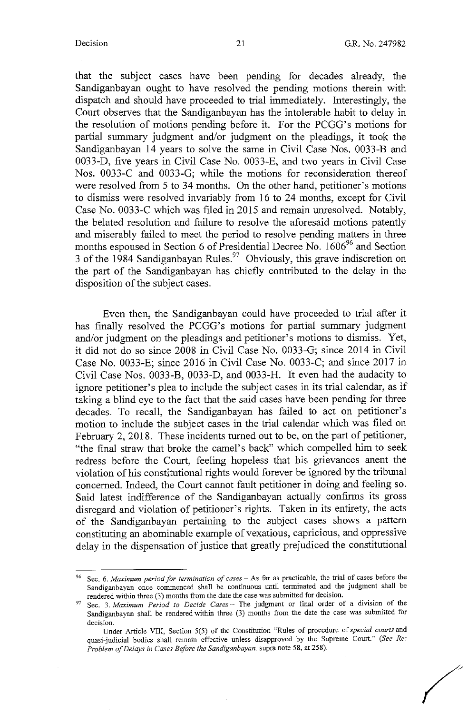that the subject cases have been pending for decades already, the Sandiganbayan ought to have resolved the pending motions therein with dispatch and should have proceeded to trial immediately. Interestingly, the Court observes that the Sandiganbayan has the intolerable habit to delay in the resolution of motions pending before it. For the PCGG's motions for partial summary judgment and/or judgment on the pleadings, it took the Sandiganbayan 14 years to solve the same in Civil Case Nos. 0033-B and 0033-D, five years in Civil Case No. 0033-E, and two years in Civil Case Nos. 0033-C and 0033-G; while the motions for reconsideration thereof were resolved from 5 to 34 months. On the other hand, petitioner's motions to dismiss were resolved invariably from 16 to 24 months, except for Civil Case No. 0033-C which was filed in 2015 and remain unresolved. Notably, the belated resolution and failure to resolve the aforesaid motions patently and miserably failed to meet the period to resolve pending matters in three months espoused in Section 6 of Presidential Decree No.  $1606^{96}$  and Section  $3$  of the 1984 Sandiganbayan Rules.<sup>97</sup> Obviously, this grave indiscretion on the part of the Sandiganbayan has chiefly contributed to the delay in the disposition of the subject cases.

Even then, the Sandiganbayan could have proceeded to trial after it has finally resolved the PCGG's motions for partial summary judgment and/or judgment on the pleadings and petitioner's motions to dismiss. Yet, it did not do so since 2008 in Civil Case No. 0033-G; since 2014 in Civil Case No. 0033-E; since 2016 in Civil Case No. 0033-C; and since 2017 in Civil Case Nos. 0033-B, 0033-D, and 0033-H. It even had the audacity to ignore petitioner's plea to include the subject cases in its trial calendar, as if taking a blind eye to the fact that the said cases have been pending for three decades. To recall, the Sandiganbayan has failed to act on petitioner's motion to include the subject cases in the trial calendar which was filed on February 2, 2018. These incidents turned out to be, on the part of petitioner, "the final straw that broke the camel's back" which compelled him to seek redress before the Court, feeling hopeless that his grievances anent the violation of his constitutional rights would forever be ignored by the tribunal concerned. Indeed, the Court cannot fault petitioner in doing and feeling so. Said latest indifference of the Sandiganbayan actually confirms its gross disregard and violation of petitioner's rights. Taken in its entirety, the acts of the Sandiganbayan pertaining to the subject cases shows a pattern constituting an abominable example of vexatious, capricious, and oppressive delay in the dispensation of justice that greatly prejudiced the constitutional

<sup>96</sup>**Sec. 6.** *Maximum period for termination of cases* - **As far as practicable, the trial of cases before the**  Sandiganbayan once commenced shall be continuous until terminated and the judgment shall be rendered within three (3) months from the date the case was submitted for decision.

Sec. 3. *Maximum Period to Decide Cases* - The judgment or final order of a division of the Sandiganbayan shall be rendered within three (3) months from the date the case was submitted for **decision.** 

Under Article VIII, Section 5(5) of the Constitution "Rules of procedure of *special courts* and quasi-judicial bodies shall remain effective unless disapproved by the Supreme Court." (See *Re: Problem of Delays in Cases Before the Sandiganbayan.* supra note 58, at 258).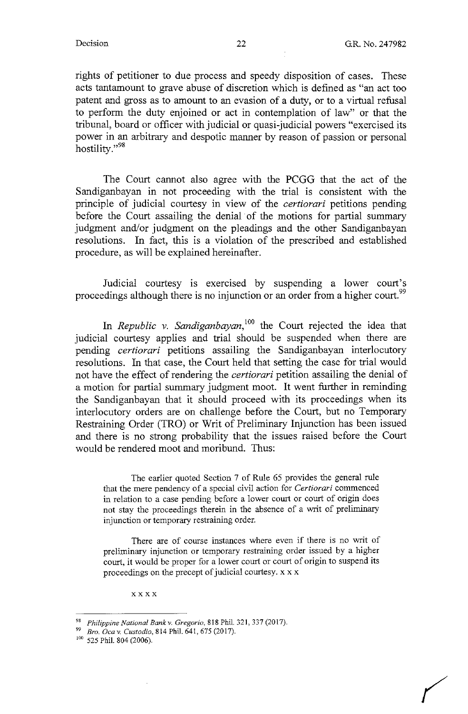rights of petitioner to due process and speedy disposition of cases. These acts tantamount to grave abuse of discretion which is defined as "an act too patent and gross as to amount to an evasion of a duty, or to a virtual refusal to perform the duty enjoined or act in contemplation of law" or that the tribunal, board or officer with judicial or quasi-judicial powers "exercised its power in an arbitrary and despotic manner by reason of passion or personal hostility."<sup>98</sup>

The Court cannot also agree with the PCGG that the act of the Sandiganbayan in not proceeding with the trial is consistent with the principle of judicial courtesy in view of the *certiorari* petitions pending before the Court assailing the denial of the motions for partial summary judgment and/or judgment on the pleadings and the other Sandiganbayan resolutions. In fact, this is a violation of the prescribed and established procedure, as will be explained hereinafter.

Judicial courtesy is exercised by suspending a lower court's proceedings although there is no injunction or an order from a higher court.<sup>99</sup>

In *Republic v. Sandiganbayan*,<sup>100</sup> the Court rejected the idea that judicial courtesy applies and trial should be suspended when there are pending *certiorari* petitions assailing the Sandiganbayan interlocutory resolutions. In that case, the Court held that setting the case for trial would not have the effect of rendering the *certiorari* petition assailing the denial of a motion for partial summary judgment moot. It went further in reminding the Sandiganbayan that it should proceed with its proceedings when its interlocutory orders are on challenge before the Court, but no Temporary Restraining Order **(TRO)** or Writ of Preliminary Injunction has been issued and there is no strong probability that the issues raised before the Court would be rendered moot and moribund. Thus:

The earlier quoted Section 7 of Rule 65 provides the general rule that the mere pendency of a special civil action for *Certiorari* commenced in relation to a case pending before a lower court or court of origin does not stay the proceedings therein in the absence of a writ of preliminary injunction or temporary restraining order.

There are of course instances where even if there is no writ of preliminary injunction or temporary restraining order issued by a higher court, it would be proper for a lower court or court of origin to suspend its proceedings on the precept of judicial courtesy. xx x

xxxx

<sup>98</sup> *Philippine National Bankv. Gregorio,* 818 Phil. 321,337 (2017).

<sup>99</sup>*Bro. Ocav. Custodio,* 814 Phil. 641,675 (2017).

<sup>&</sup>lt;sup>100</sup> 525 Phil. 804 (2006).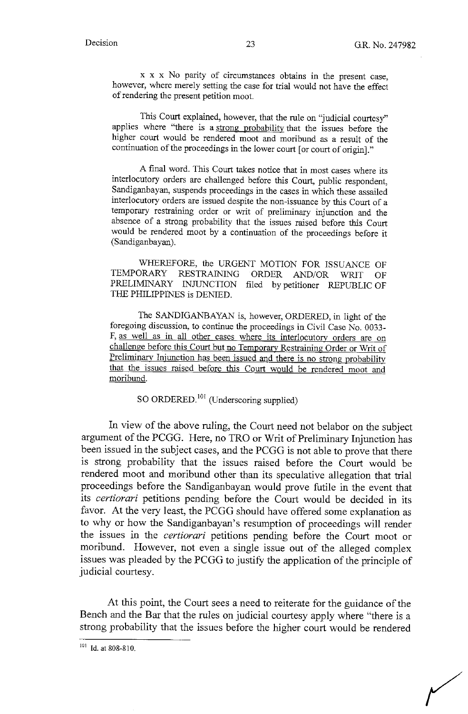x x x No parity of circumstances obtains in the present case, however, where merely setting the case for trial would not have the effect of rendering the present petition moot.

This Court explained, however, that the rule on "judicial courtesy" applies where "there is a strong probability that the issues before the higher court would be rendered moot and moribund as a result of the continuation of the proceedings in the lower court [or court of origin]."

A final word. This Court takes notice that in most cases where its interlocutory orders are challenged before this Court, public respondent, Sandiganbayan, suspends proceedings in the cases in which these assailed interlocutory orders are issued despite the non-issuance by this Court of a temporary restraining order or writ of preliminary injunction and the absence of a strong probability that the issues raised before this Court would be rendered moot by a continuation of the proceedings before it (Sandiganbayan).

WHEREFORE, the URGENT MOTION FOR ISSUANCE OF TEMPORARY RESTRAINING ORDER AND/OR WRIT OF PRELIMINARY INJUNCTION filed by petitioner REPUBLIC OF THE PHILIPPINES is DENIED.

The SANDIGANBAYAN is, however, ORDERED, in light of the foregoing discussion, to continue the proceedings in Civil Case No. 0033- F, as well as in all other cases where its interlocutory orders are on challenge before this Court but no Temporary Restraining Order or Writ of Preliminary Injunction has been issued and there is no strong probability that the issues raised before this Court would be rendered moot and moribund.

SO ORDERED.<sup>101</sup> (Underscoring supplied)

In view of the above ruling, the Court need not belabor on the subject argument of the PCGG. Here, no TRO or Writ of Preliminary Injunction has been issued in the subject cases, and the PCGG is not able to prove that there is strong probability that the issues raised before the Court would be rendered moot and moribund other than its speculative allegation that trial proceedings before the Sandiganbayan would prove futile in the event that its *certiorari* petitions pending before the Court would be decided in its favor. At the very least, the PCGG should have offered some explanation as to why or how the Sandiganbayan's resumption of proceedings will render the issues in the *certiorari* petitions pending before the Court moot or moribund. However, not even a single issue out of the alleged complex issues was pleaded by the PCGG to justify the application of the principle of judicial courtesy.

At this point, the Court sees a need to reiterate for the guidance of the Bench and the Bar that the rules on judicial courtesy apply where "there is a strong probability that the issues before the higher court would be rendered

<sup>101</sup> Id. at 808-810.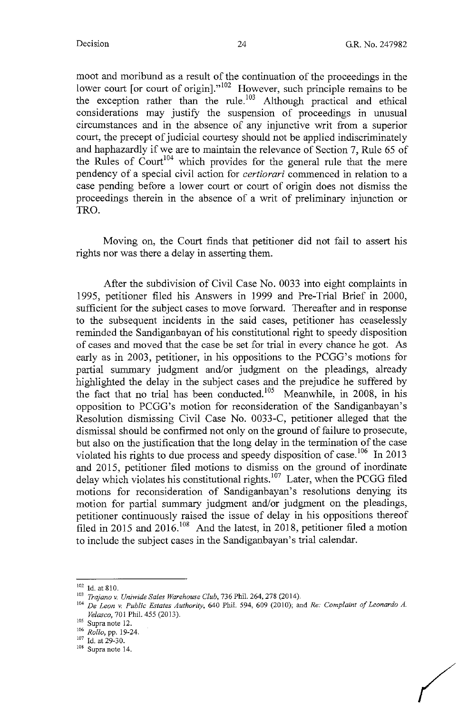*(* 

moot and moribund as a result of the continuation of the proceedings in the lower court [or court of origin]."<sup>102</sup> However, such principle remains to be the exception rather than the rule.<sup> $103$ </sup> Although practical and ethical considerations may justify the suspension of proceedings in unusual circumstances and in the absence of any injunctive writ from a superior court, the precept of judicial courtesy should not be applied indiscriminately and haphazardly if we are to maintain the relevance of Section 7, Rule 65 of the Rules of Court<sup>104</sup> which provides for the general rule that the mere pendency of a special civil action for *certiorari* commenced in relation to a case pending before a lower court or court of origin does not dismiss the proceedings therein in the absence of a writ of preliminary injunction or TRO.

Moving on, the Court finds that petitioner did not fail to assert his rights nor was there a delay in asserting them.

After the subdivision of Civil Case No. 0033 into eight complaints in 1995, petitioner filed his Answers in 1999 and Pre-Trial Brief in 2000, sufficient for the subject cases to move forward. Thereafter and in response to the subsequent incidents in the said cases, petitioner has ceaselessly reminded the Sandiganbayan of his constitutional right to speedy disposition of cases and moved that the case be set for trial in every chance he got. As early as in 2003, petitioner, in his oppositions to the PCGG's motions for partial summary judgment and/or judgment on the pleadings, already highlighted the delay in the subject cases and the prejudice he suffered by the fact that no trial has been conducted.<sup>105</sup> Meanwhile, in 2008, in his opposition to PCGG's motion for reconsideration of the Sandiganbayan's Resolution dismissing Civil Case No. 0033-C, petitioner alleged that the dismissal should be confirmed not only on the ground of failure to prosecute, but also on the justification that the long delay in the termination of the case violated his rights to due process and speedy disposition of case.<sup>106</sup> In 2013 and 2015, petitioner filed motions to dismiss on the ground of inordinate delay which violates his constitutional rights.<sup>107</sup> Later, when the PCGG filed motions for reconsideration of Sandiganbayan's resolutions denying its motion for partial summary judgment and/or judgment on the pleadings, petitioner continuously raised the issue of delay in his oppositions thereof filed in 2015 and 2016. 108 And the latest, in 2018, petitioner filed a motion to include the subject cases in the Sandiganbayan's trial calendar.

<sup>102</sup> Id.at810. 103 *Trajano v. Uniwide Sales Warehouse Club,* 736 Phil. 264,278 (2014).

<sup>&</sup>lt;sup>104</sup> De Leon v. Public Estates Authority, 640 Phil. 594, 609 (2010); and *Re: Complaint of Leonardo A. Velasco*, 701 Phil. 455 (2013).<br><sup>105</sup> Supra note 12.

<sup>105</sup> Supra note 12. 106 *Rollo,* pp. 19-24. 107 Id. at 29-30. 108 **Supra note** 14.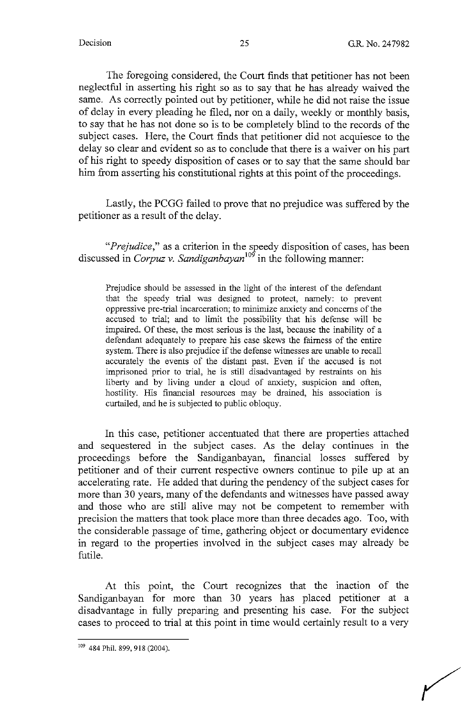The foregoing considered, the Court finds that petitioner has not been neglectful in asserting his right so as to say that he has already waived the same. As correctly pointed out by petitioner, while he did not raise the issue of delay in every pleading he filed, nor on a daily, weekly or monthly basis, to say that he has not done so is to be completely blind to the records of the subject cases. Here, the Court finds that petitioner did not acquiesce to the delay so clear and evident so as to conclude that there is a waiver on his part of his right to speedy disposition of cases or to say that the same should bar him from asserting his constitutional rights at this point of the proceedings.

Lastly, the PCGG failed to prove that no prejudice was suffered by the petitioner as a result of the delay.

*"Prejudice,"* as a criterion in the speedy disposition of cases, has been discussed in *Corpuz v. Sandiganbayan<sup>109</sup>*in the following manner:

Prejudice should be assessed in the light of the interest of the defendant that the speedy trial was designed to protect, namely: to prevent oppressive pre-trial incarceration; to minimize anxiety and concerns of the accused to trial; and to limit the possibility that his defense will be impaired. Of these, the most serious is the last, because the inability of a defendant adequately to prepare his case skews the fairness of the entire system. There is also prejudice if the defense witnesses are unable to recall accurately the events of the distant past. Even if the accused is not imprisoned prior to trial, he is still disadvantaged by restraints on his liberty and by living under a cloud of anxiety, suspicion and often, hostility. His financial resources may be drained, his association is curtailed, and he is subjected to public obloquy.

In this case, petitioner accentuated that there are properties attached and sequestered in the subject cases. As the delay continues in the proceedings before the Sandiganbayan, financial losses suffered by petitioner and of their current respective owners continue to pile up at an accelerating rate. He added that during the pendency of the subject cases for more than 30 years, many of the defendants and witnesses have passed away and those who are still alive may not be competent to remember with precision the matters that took place more than three decades ago. Too, with the considerable passage of time, gathering object or documentary evidence in regard to the properties involved in the subject cases may already be futile.

At this point, the Court recogmzes that the inaction of the Sandiganbayan for more than 30 years has placed petitioner at a disadvantage in fully preparing and presenting his case. For the subject cases to proceed to trial at this point in time would certainly result to a very

<sup>&</sup>lt;sup>109</sup> 484 Phil. 899, 918 (2004).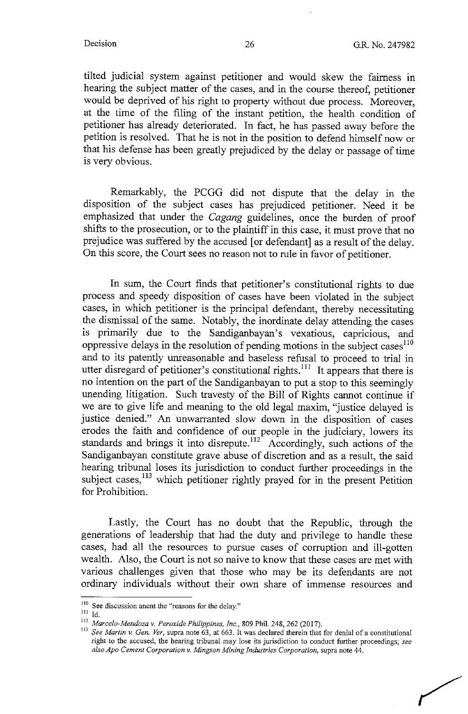tilted judicial system against petitioner and would skew the fairness in hearing the subject matter of the cases, and in the course thereof, petitioner would be deprived of his right to property without due process. Moreover, at the time of the filing of the instant petition, the health condition of petitioner has already deteriorated. In fact, he has passed away before the petition is resolved. That he is not in the position to defend himself now or that his defense has been greatly prejudiced by the delay or passage of time is very obvious.

Remarkably, the PCGG did not dispute that the delay in the disposition of the subject cases has prejudiced petitioner. Need it be emphasized that under the *Cagang* guidelines, once the burden of proof shifts to the prosecution, or to the plaintiff in this case, it must prove that no prejudice was suffered by the accused [ or defendant] as a result of the delay. On this score, the Court sees no reason not to rule in favor of petitioner.

In sum, the Court finds that petitioner's constitutional rights to due process and speedy disposition of cases have been violated in the subject cases, in which petitioner is the principal defendant, thereby necessitating the dismissal of the same. Notably, the inordinate delay attending the cases is primarily due to the Sandiganbayan's vexatious, capricious, and oppressive delays in the resolution of pending motions in the subject cases<sup>110</sup> and to its patently unreasonable and baseless refusal to proceed to trial in utter disregard of petitioner's constitutional rights.<sup>111</sup> It appears that there is no intention on the part of the Sandiganbayan to put a stop to this seemingly unending litigation. Such travesty of the Bill of Rights cannot continue if we are to give life and meaning to the old legal maxim, "justice delayed is justice denied." An unwarranted slow down in the disposition of cases erodes the faith and confidence of our people in the judiciary, lowers its standards and brings it into disrepute.<sup>112</sup> Accordingly, such actions of the Sandiganbayan constitute grave abuse of discretion and as a result, the said hearing tribunal loses its jurisdiction to conduct further proceedings in the subject cases,<sup>113</sup> which petitioner rightly prayed for in the present Petition for Prohibition.

Lastly, the Court has no doubt that the Republic, through the generations of leadership that had the duty and privilege to handle these cases, had all the resources to pursue cases of corruption and ill-gotten wealth. Also, the Court is not so naive to know that these cases are met with various challenges given that those who may be its defendants are not ordinary individuals without their own share of immense resources and

<sup>&</sup>lt;sup>110</sup> See discussion anent the "reasons for the delay."<br><sup>111</sup> Id

<sup>&</sup>lt;sup>112</sup> *Marcelo-Mendoza v. Peroxide Philippines, Inc.*, 809 Phil. 248, 262 (2017).<br><sup>113</sup> See *Martin v. Gen. Ver*, supra note 63, at 663. It was declared therein that for denial of a constitutional **right to the accused, the hearing tribunal may lose its jurisdiction to conduct further proceedings;** *see also Apo Cement Corporation v. Mingson Mining Industries Corporation,* **supra note 44.**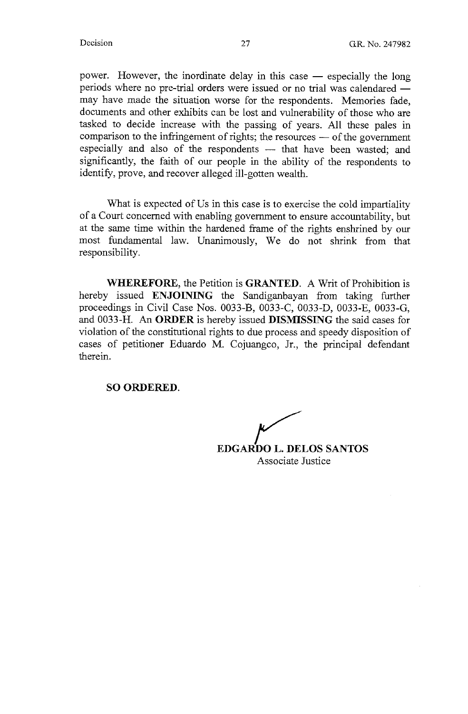power. However, the inordinate delay in this case - especially the long periods where no pre-trial orders were issued or no trial was calendared may have made the situation worse for the respondents. Memories fade, documents and other exhibits can be lost and vulnerability of those who are tasked to decide increase with the passing of years. All these pales in comparison to the infringement of rights; the resources  $-$  of the government especially and also of the respondents - that have been wasted; and significantly, the faith of our people in the ability of the respondents to identify, prove, and recover alleged ill-gotten wealth.

What is expected of Us in this case is to exercise the cold impartiality of a Court concerned with enabling government to ensure accountability, but at the same time within the hardened frame of the rights enshrined by our most fundamental law. Unanimously, We do not shrink from that responsibility.

**WHEREFORE,** the Petition is **GRANTED.** A Writ of Prohibition is hereby issued **ENJOINING** the Sandiganbayan from taking further proceedings in Civil Case Nos. 0033-B, 0033-C, 0033-D, 0033-E, 0033-G, and 0033-H. An **ORDER** is hereby issued **DISMISSING** the said cases for violation of the constitutional rights to due process and speedy disposition of cases of petitioner Eduardo M. Cojuangco, Jr., the principal defendant therein.

**SO ORDERED.** 

**EDGARDO L. DELOS SANTOS** Associate Justice